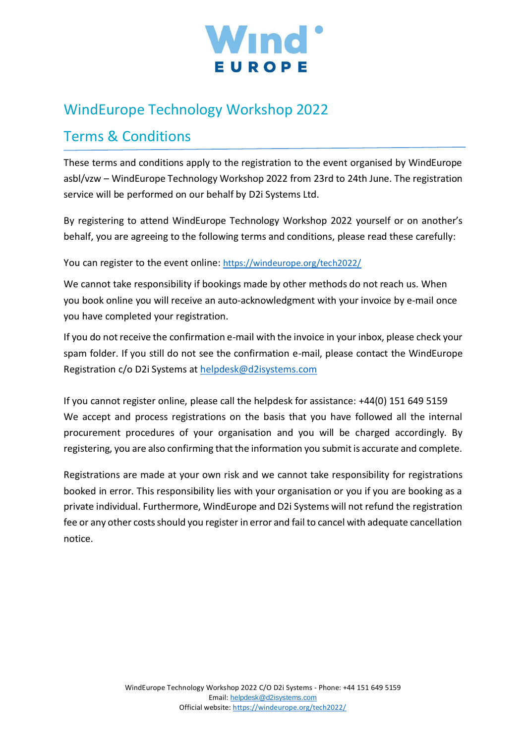

# WindEurope Technology Workshop 2022

# Terms & Conditions

These terms and conditions apply to the registration to the event organised by WindEurope asbl/vzw – WindEurope Technology Workshop 2022 from 23rd to 24th June. The registration service will be performed on our behalf by D2i Systems Ltd.

By registering to attend WindEurope Technology Workshop 2022 yourself or on another's behalf, you are agreeing to the following terms and conditions, please read these carefully:

You can register to the event online: <https://windeurope.org/tech2022/>

We cannot take responsibility if bookings made by other methods do not reach us. When you book online you will receive an auto-acknowledgment with your invoice by e-mail once you have completed your registration.

If you do not receive the confirmation e-mail with the invoice in your inbox, please check your spam folder. If you still do not see the confirmation e-mail, please contact the WindEurope Registration c/o D2i Systems at [helpdesk@d2isystems.com](mailto:helpdesk@d2isystems.com)

If you cannot register online, please call the helpdesk for assistance: +44(0) 151 649 5159 We accept and process registrations on the basis that you have followed all the internal procurement procedures of your organisation and you will be charged accordingly. By registering, you are also confirming that the information you submit is accurate and complete.

Registrations are made at your own risk and we cannot take responsibility for registrations booked in error. This responsibility lies with your organisation or you if you are booking as a private individual. Furthermore, WindEurope and D2i Systems will not refund the registration fee or any other costs should you register in error and fail to cancel with adequate cancellation notice.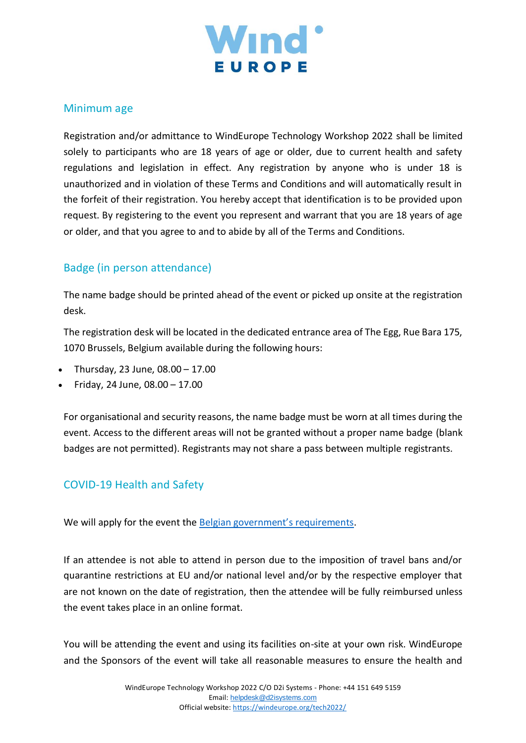

### Minimum age

Registration and/or admittance to WindEurope Technology Workshop 2022 shall be limited solely to participants who are 18 years of age or older, due to current health and safety regulations and legislation in effect. Any registration by anyone who is under 18 is unauthorized and in violation of these Terms and Conditions and will automatically result in the forfeit of their registration. You hereby accept that identification is to be provided upon request. By registering to the event you represent and warrant that you are 18 years of age or older, and that you agree to and to abide by all of the Terms and Conditions.

# Badge (in person attendance)

The name badge should be printed ahead of the event or picked up onsite at the registration desk.

The registration desk will be located in the dedicated entrance area of The Egg, Rue Bara 175, 1070 Brussels, Belgium available during the following hours:

- Thursday, 23 June,  $08.00 17.00$
- Friday, 24 June, 08.00 17.00

For organisational and security reasons, the name badge must be worn at all times during the event. Access to the different areas will not be granted without a proper name badge (blank badges are not permitted). Registrants may not share a pass between multiple registrants.

# COVID-19 Health and Safety

We will apply for the event the [Belgian government's requirements](https://www.commissioner.brussels/en/updates-covid-19).

If an attendee is not able to attend in person due to the imposition of travel bans and/or quarantine restrictions at EU and/or national level and/or by the respective employer that are not known on the date of registration, then the attendee will be fully reimbursed unless the event takes place in an online format.

You will be attending the event and using its facilities on-site at your own risk. WindEurope and the Sponsors of the event will take all reasonable measures to ensure the health and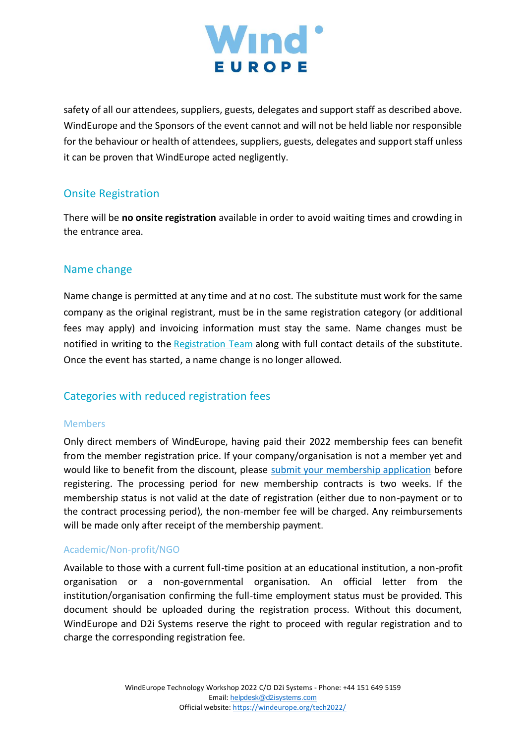

safety of all our attendees, suppliers, guests, delegates and support staff as described above. WindEurope and the Sponsors of the event cannot and will not be held liable nor responsible for the behaviour or health of attendees, suppliers, guests, delegates and support staff unless it can be proven that WindEurope acted negligently.

# Onsite Registration

There will be **no onsite registration** available in order to avoid waiting times and crowding in the entrance area.

#### Name change

Name change is permitted at any time and at no cost. The substitute must work for the same company as the original registrant, must be in the same registration category (or additional fees may apply) and invoicing information must stay the same. Name changes must be notified in writing to the [Registration Team](mailto:helpdesk@d2isystems.com) along with full contact details of the substitute. Once the event has started, a name change is no longer allowed.

## Categories with reduced registration fees

#### Members

Only direct members of WindEurope, having paid their 2022 membership fees can benefit from the member registration price. If your company/organisation is not a member yet and would like to benefit from the discount, please [submit your membership application](https://windeurope.org/membership/how-to-join/) before registering. The processing period for new membership contracts is two weeks. If the membership status is not valid at the date of registration (either due to non-payment or to the contract processing period), the non-member fee will be charged. Any reimbursements will be made only after receipt of the membership payment.

#### Academic/Non-profit/NGO

Available to those with a current full-time position at an educational institution, a non-profit organisation or a non-governmental organisation. An official letter from the institution/organisation confirming the full-time employment status must be provided. This document should be uploaded during the registration process. Without this document, WindEurope and D2i Systems reserve the right to proceed with regular registration and to charge the corresponding registration fee.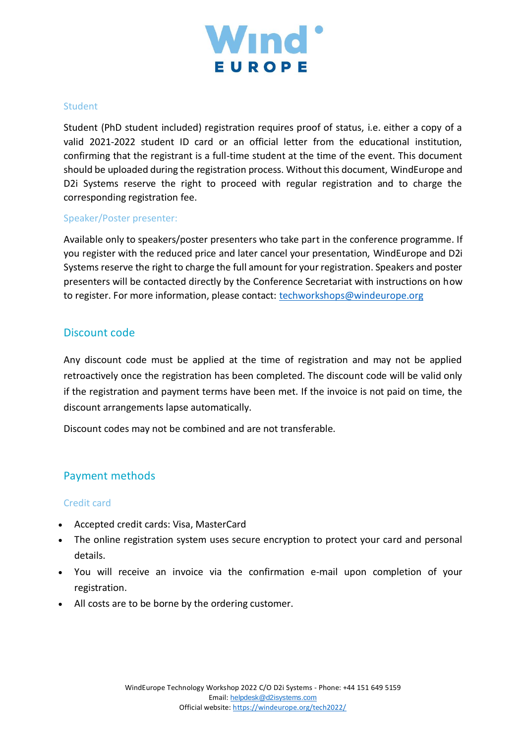

#### **Student**

Student (PhD student included) registration requires proof of status, i.e. either a copy of a valid 2021-2022 student ID card or an official letter from the educational institution, confirming that the registrant is a full-time student at the time of the event. This document should be uploaded during the registration process. Without this document, WindEurope and D2i Systems reserve the right to proceed with regular registration and to charge the corresponding registration fee.

#### Speaker/Poster presenter:

Available only to speakers/poster presenters who take part in the conference programme. If you register with the reduced price and later cancel your presentation, WindEurope and D2i Systems reserve the right to charge the full amount for your registration. Speakers and poster presenters will be contacted directly by the Conference Secretariat with instructions on how to register. For more information, please contact: [techworkshops@windeurope.org](mailto:techworkshops@windeurope.org)

#### Discount code

Any discount code must be applied at the time of registration and may not be applied retroactively once the registration has been completed. The discount code will be valid only if the registration and payment terms have been met. If the invoice is not paid on time, the discount arrangements lapse automatically.

Discount codes may not be combined and are not transferable.

## Payment methods

#### Credit card

- Accepted credit cards: Visa, MasterCard
- The online registration system uses secure encryption to protect your card and personal details.
- You will receive an invoice via the confirmation e-mail upon completion of your registration.
- All costs are to be borne by the ordering customer.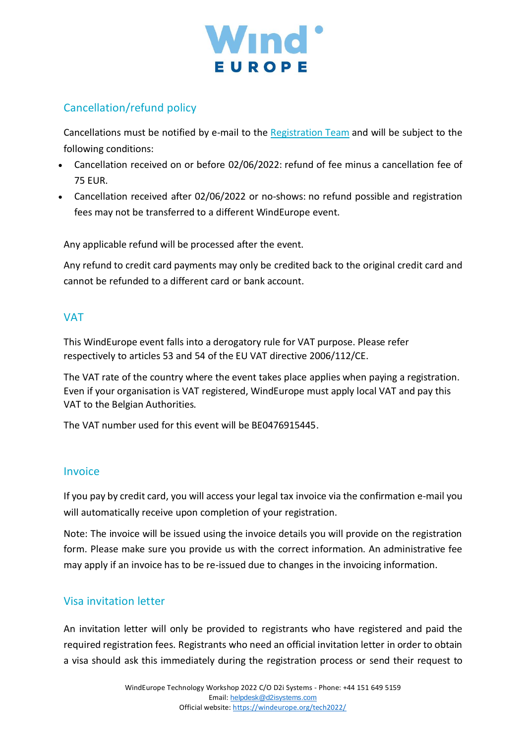

# Cancellation/refund policy

Cancellations must be notified by e-mail to the [Registration Team](mailto:helpdesk@d2isystems.com) and will be subject to the following conditions:

- Cancellation received on or before 02/06/2022: refund of fee minus a cancellation fee of 75 EUR.
- Cancellation received after 02/06/2022 or no-shows: no refund possible and registration fees may not be transferred to a different WindEurope event.

Any applicable refund will be processed after the event.

Any refund to credit card payments may only be credited back to the original credit card and cannot be refunded to a different card or bank account.

#### VAT

This WindEurope event falls into a derogatory rule for VAT purpose. Please refer respectively to articles 53 and 54 of the EU VAT directive 2006/112/CE.

The VAT rate of the country where the event takes place applies when paying a registration. Even if your organisation is VAT registered, WindEurope must apply local VAT and pay this VAT to the Belgian Authorities.

The VAT number used for this event will be BE0476915445.

## Invoice

If you pay by credit card, you will access your legal tax invoice via the confirmation e-mail you will automatically receive upon completion of your registration.

Note: The invoice will be issued using the invoice details you will provide on the registration form. Please make sure you provide us with the correct information. An administrative fee may apply if an invoice has to be re-issued due to changes in the invoicing information.

## Visa invitation letter

An invitation letter will only be provided to registrants who have registered and paid the required registration fees. Registrants who need an official invitation letter in order to obtain a visa should ask this immediately during the registration process or send their request to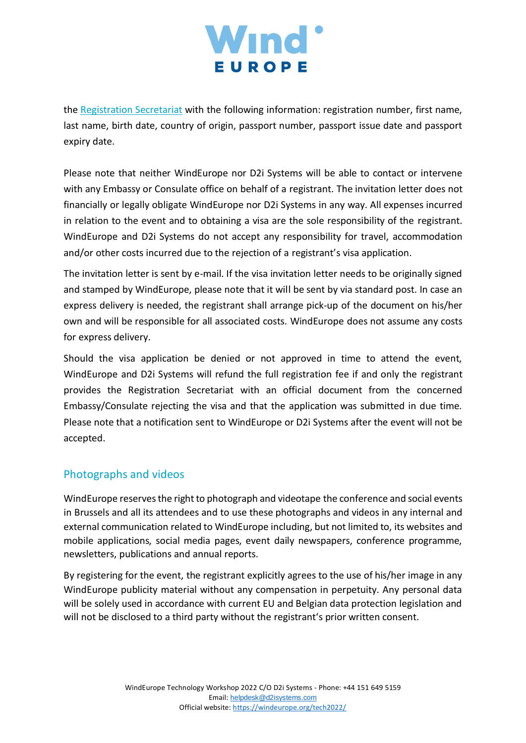

the [Registration Secretariat](mailto:helpdesk@d2isystems.com) with the following information: registration number, first name, last name, birth date, country of origin, passport number, passport issue date and passport expiry date.

Please note that neither WindEurope nor D2i Systems will be able to contact or intervene with any Embassy or Consulate office on behalf of a registrant. The invitation letter does not financially or legally obligate WindEurope nor D2i Systems in any way. All expenses incurred in relation to the event and to obtaining a visa are the sole responsibility of the registrant. WindEurope and D2i Systems do not accept any responsibility for travel, accommodation and/or other costs incurred due to the rejection of a registrant's visa application.

The invitation letter is sent by e-mail. If the visa invitation letter needs to be originally signed and stamped by WindEurope, please note that it will be sent by via standard post. In case an express delivery is needed, the registrant shall arrange pick-up of the document on his/her own and will be responsible for all associated costs. WindEurope does not assume any costs for express delivery.

Should the visa application be denied or not approved in time to attend the event, WindEurope and D2i Systems will refund the full registration fee if and only the registrant provides the Registration Secretariat with an official document from the concerned Embassy/Consulate rejecting the visa and that the application was submitted in due time. Please note that a notification sent to WindEurope or D2i Systems after the event will not be accepted.

# Photographs and videos

WindEurope reserves the right to photograph and videotape the conference and social events in Brussels and all its attendees and to use these photographs and videos in any internal and external communication related to WindEurope including, but not limited to, its websites and mobile applications, social media pages, event daily newspapers, conference programme, newsletters, publications and annual reports.

By registering for the event, the registrant explicitly agrees to the use of his/her image in any WindEurope publicity material without any compensation in perpetuity. Any personal data will be solely used in accordance with current EU and Belgian data protection legislation and will not be disclosed to a third party without the registrant's prior written consent.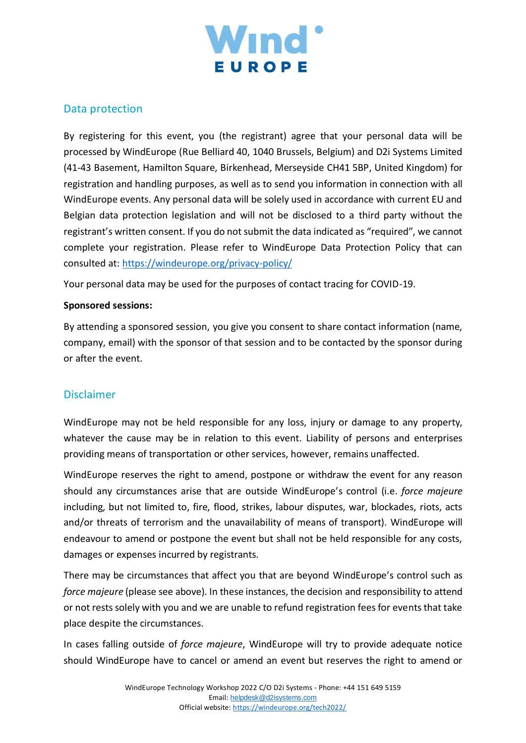

### Data protection

By registering for this event, you (the registrant) agree that your personal data will be processed by WindEurope (Rue Belliard 40, 1040 Brussels, Belgium) and D2i Systems Limited (41-43 Basement, Hamilton Square, Birkenhead, Merseyside CH41 5BP, United Kingdom) for registration and handling purposes, as well as to send you information in connection with all WindEurope events. Any personal data will be solely used in accordance with current EU and Belgian data protection legislation and will not be disclosed to a third party without the registrant's written consent. If you do not submit the data indicated as "required", we cannot complete your registration. Please refer to WindEurope Data Protection Policy that can consulted at:<https://windeurope.org/privacy-policy/>

Your personal data may be used for the purposes of contact tracing for COVID-19.

#### **Sponsored sessions:**

By attending a sponsored session, you give you consent to share contact information (name, company, email) with the sponsor of that session and to be contacted by the sponsor during or after the event.

#### Disclaimer

WindEurope may not be held responsible for any loss, injury or damage to any property, whatever the cause may be in relation to this event. Liability of persons and enterprises providing means of transportation or other services, however, remains unaffected.

WindEurope reserves the right to amend, postpone or withdraw the event for any reason should any circumstances arise that are outside WindEurope's control (i.e. *force majeure* including, but not limited to, fire, flood, strikes, labour disputes, war, blockades, riots, acts and/or threats of terrorism and the unavailability of means of transport). WindEurope will endeavour to amend or postpone the event but shall not be held responsible for any costs, damages or expenses incurred by registrants.

There may be circumstances that affect you that are beyond WindEurope's control such as *force majeure* (please see above). In these instances, the decision and responsibility to attend or not rests solely with you and we are unable to refund registration fees for events that take place despite the circumstances.

In cases falling outside of *force majeure*, WindEurope will try to provide adequate notice should WindEurope have to cancel or amend an event but reserves the right to amend or